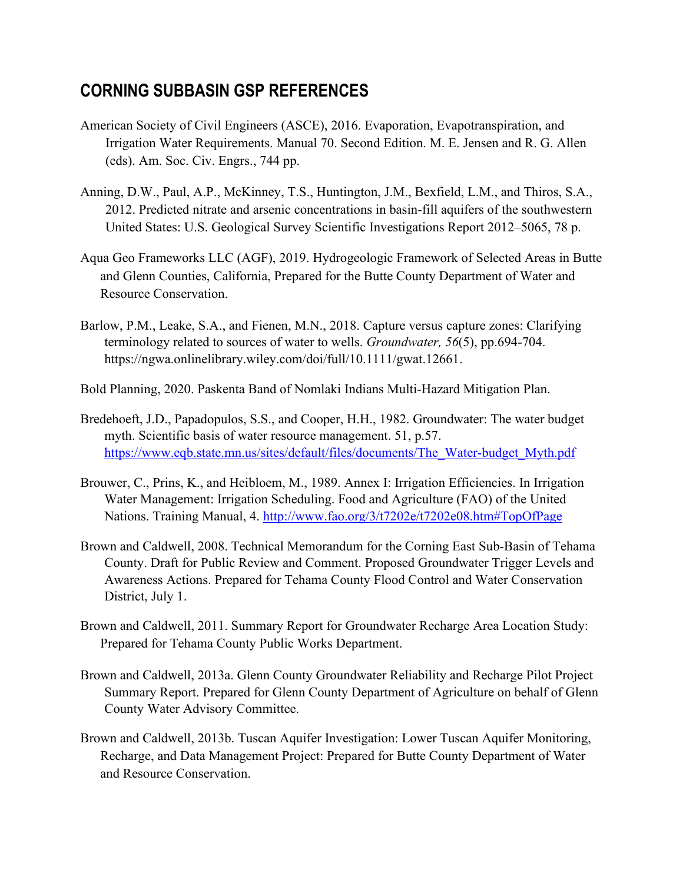## **CORNING SUBBASIN GSP REFERENCES**

- American Society of Civil Engineers (ASCE), 2016. Evaporation, Evapotranspiration, and Irrigation Water Requirements. Manual 70. Second Edition. M. E. Jensen and R. G. Allen (eds). Am. Soc. Civ. Engrs., 744 pp.
- Anning, D.W., Paul, A.P., McKinney, T.S., Huntington, J.M., Bexfield, L.M., and Thiros, S.A., 2012. Predicted nitrate and arsenic concentrations in basin-fill aquifers of the southwestern United States: U.S. Geological Survey Scientific Investigations Report 2012–5065, 78 p.
- Aqua Geo Frameworks LLC (AGF), 2019. Hydrogeologic Framework of Selected Areas in Butte and Glenn Counties, California, Prepared for the Butte County Department of Water and Resource Conservation.
- Barlow, P.M., Leake, S.A., and Fienen, M.N., 2018. Capture versus capture zones: Clarifying terminology related to sources of water to wells. *Groundwater, 56*(5), pp.694-704. https://ngwa.onlinelibrary.wiley.com/doi/full/10.1111/gwat.12661.
- Bold Planning, 2020. Paskenta Band of Nomlaki Indians Multi-Hazard Mitigation Plan.
- Bredehoeft, J.D., Papadopulos, S.S., and Cooper, H.H., 1982. Groundwater: The water budget myth. Scientific basis of water resource management. 51, p.57. [https://www.eqb.state.mn.us/sites/default/files/documents/The\\_Water-budget\\_Myth.pdf](https://www.eqb.state.mn.us/sites/default/files/documents/The_Water-budget_Myth.pdf)
- Brouwer, C., Prins, K., and Heibloem, M., 1989. Annex I: Irrigation Efficiencies. In Irrigation Water Management: Irrigation Scheduling. Food and Agriculture (FAO) of the United Nations. Training Manual, 4. [http://www.fao.org/3/t7202e/t7202e08.htm#TopOfPage](http://www.fao.org/3/t7202e/t7202e08.htm%23TopOfPage)
- Brown and Caldwell, 2008. Technical Memorandum for the Corning East Sub-Basin of Tehama County. Draft for Public Review and Comment. Proposed Groundwater Trigger Levels and Awareness Actions. Prepared for Tehama County Flood Control and Water Conservation District, July 1.
- Brown and Caldwell, 2011. Summary Report for Groundwater Recharge Area Location Study: Prepared for Tehama County Public Works Department.
- Brown and Caldwell, 2013a. Glenn County Groundwater Reliability and Recharge Pilot Project Summary Report. Prepared for Glenn County Department of Agriculture on behalf of Glenn County Water Advisory Committee.
- Brown and Caldwell, 2013b. Tuscan Aquifer Investigation: Lower Tuscan Aquifer Monitoring, Recharge, and Data Management Project: Prepared for Butte County Department of Water and Resource Conservation.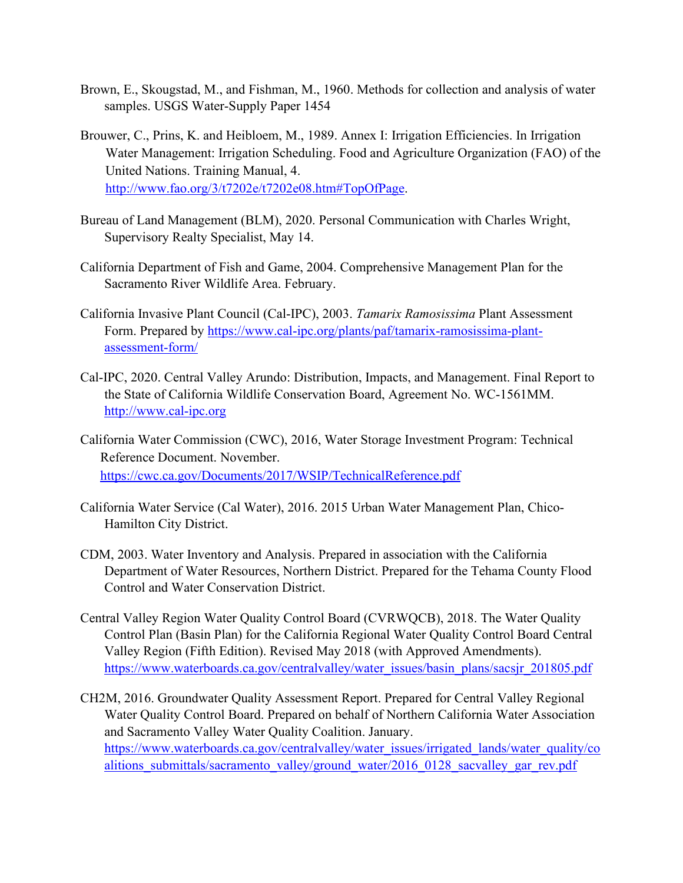- Brown, E., Skougstad, M., and Fishman, M., 1960. Methods for collection and analysis of water samples. USGS Water-Supply Paper 1454
- Brouwer, C., Prins, K. and Heibloem, M., 1989. Annex I: Irrigation Efficiencies. In Irrigation Water Management: Irrigation Scheduling. Food and Agriculture Organization (FAO) of the United Nations. Training Manual, 4. [http://www.fao.org/3/t7202e/t7202e08.htm#TopOfPage.](http://www.fao.org/3/t7202e/t7202e08.htm#TopOfPage)
- Bureau of Land Management (BLM), 2020. Personal Communication with Charles Wright, Supervisory Realty Specialist, May 14.
- California Department of Fish and Game, 2004. Comprehensive Management Plan for the Sacramento River Wildlife Area. February.
- California Invasive Plant Council (Cal-IPC), 2003. *Tamarix Ramosissima* Plant Assessment Form. Prepared by [https://www.cal-ipc.org/plants/paf/tamarix-ramosissima-plant](https://www.cal-ipc.org/plants/paf/tamarix-ramosissima-plant-assessment-form/)[assessment-form/](https://www.cal-ipc.org/plants/paf/tamarix-ramosissima-plant-assessment-form/)
- Cal-IPC, 2020. Central Valley Arundo: Distribution, Impacts, and Management. Final Report to the State of California Wildlife Conservation Board, Agreement No. WC-1561MM. [http://www.cal-ipc.org](http://www.cal-ipc.org/)
- California Water Commission (CWC), 2016, Water Storage Investment Program: Technical Reference Document. November. <https://cwc.ca.gov/Documents/2017/WSIP/TechnicalReference.pdf>
- California Water Service (Cal Water), 2016. 2015 Urban Water Management Plan, Chico-Hamilton City District.
- CDM, 2003. Water Inventory and Analysis. Prepared in association with the California Department of Water Resources, Northern District. Prepared for the Tehama County Flood Control and Water Conservation District.
- Central Valley Region Water Quality Control Board (CVRWQCB), 2018. The Water Quality Control Plan (Basin Plan) for the California Regional Water Quality Control Board Central Valley Region (Fifth Edition). Revised May 2018 (with Approved Amendments). [https://www.waterboards.ca.gov/centralvalley/water\\_issues/basin\\_plans/sacsjr\\_201805.pdf](https://www.waterboards.ca.gov/centralvalley/water_issues/basin_plans/sacsjr_201805.pdf)
- CH2M, 2016. Groundwater Quality Assessment Report. Prepared for Central Valley Regional Water Quality Control Board. Prepared on behalf of Northern California Water Association and Sacramento Valley Water Quality Coalition. January. [https://www.waterboards.ca.gov/centralvalley/water\\_issues/irrigated\\_lands/water\\_quality/co](https://www.waterboards.ca.gov/centralvalley/water_issues/irrigated_lands/water_quality/coalitions_submittals/sacramento_valley/ground_water/2016_0128_sacvalley_gar_rev.pdf) alitions submittals/sacramento\_valley/ground\_water/2016\_0128\_sacvalley\_gar\_rev.pdf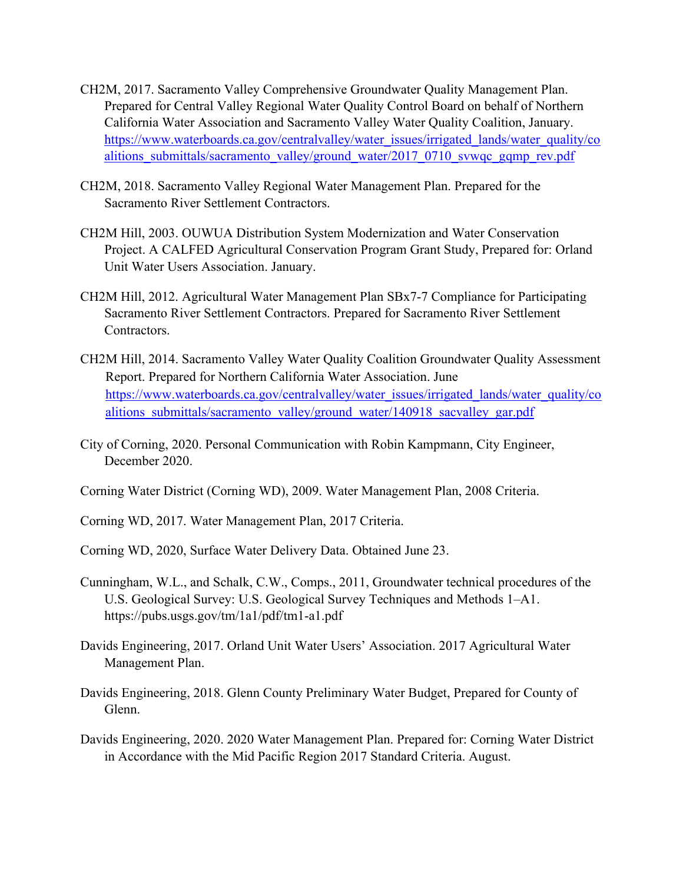- CH2M, 2017. Sacramento Valley Comprehensive Groundwater Quality Management Plan. Prepared for Central Valley Regional Water Quality Control Board on behalf of Northern California Water Association and Sacramento Valley Water Quality Coalition, January. [https://www.waterboards.ca.gov/centralvalley/water\\_issues/irrigated\\_lands/water\\_quality/co](https://www.waterboards.ca.gov/centralvalley/water_issues/irrigated_lands/water_quality/coalitions_submittals/sacramento_valley/ground_water/2017_0710_svwqc_gqmp_rev.pdf) [alitions\\_submittals/sacramento\\_valley/ground\\_water/2017\\_0710\\_svwqc\\_gqmp\\_rev.pdf](https://www.waterboards.ca.gov/centralvalley/water_issues/irrigated_lands/water_quality/coalitions_submittals/sacramento_valley/ground_water/2017_0710_svwqc_gqmp_rev.pdf)
- CH2M, 2018. Sacramento Valley Regional Water Management Plan. Prepared for the Sacramento River Settlement Contractors.
- CH2M Hill, 2003. OUWUA Distribution System Modernization and Water Conservation Project. A CALFED Agricultural Conservation Program Grant Study, Prepared for: Orland Unit Water Users Association. January.
- CH2M Hill, 2012. Agricultural Water Management Plan SBx7-7 Compliance for Participating Sacramento River Settlement Contractors. Prepared for Sacramento River Settlement Contractors.
- CH2M Hill, 2014. Sacramento Valley Water Quality Coalition Groundwater Quality Assessment Report. Prepared for Northern California Water Association. June [https://www.waterboards.ca.gov/centralvalley/water\\_issues/irrigated\\_lands/water\\_quality/co](https://www.waterboards.ca.gov/centralvalley/water_issues/irrigated_lands/water_quality/coalitions_submittals/sacramento_valley/ground_water/140918_sacvalley_gar.pdf) alitions submittals/sacramento valley/ground water/140918 sacvalley gar.pdf
- City of Corning, 2020. Personal Communication with Robin Kampmann, City Engineer, December 2020.
- Corning Water District (Corning WD), 2009. Water Management Plan, 2008 Criteria.
- Corning WD, 2017. Water Management Plan, 2017 Criteria.
- Corning WD, 2020, Surface Water Delivery Data. Obtained June 23.
- Cunningham, W.L., and Schalk, C.W., Comps., 2011, Groundwater technical procedures of the U.S. Geological Survey: U.S. Geological Survey Techniques and Methods 1–A1. https://pubs.usgs.gov/tm/1a1/pdf/tm1-a1.pdf
- Davids Engineering, 2017. Orland Unit Water Users' Association. 2017 Agricultural Water Management Plan.
- Davids Engineering, 2018. Glenn County Preliminary Water Budget, Prepared for County of Glenn.
- Davids Engineering, 2020. 2020 Water Management Plan. Prepared for: Corning Water District in Accordance with the Mid Pacific Region 2017 Standard Criteria. August.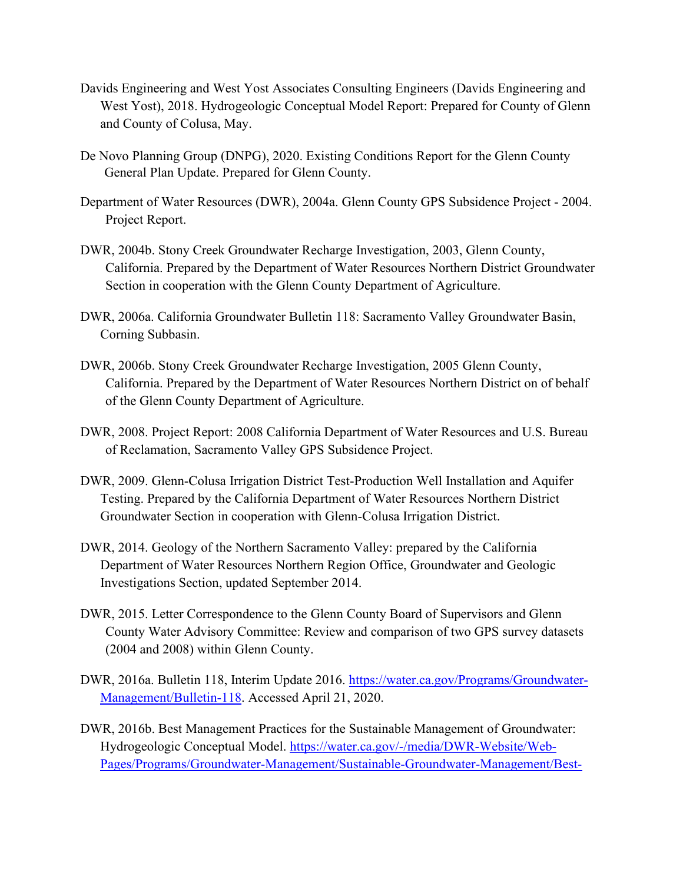- Davids Engineering and West Yost Associates Consulting Engineers (Davids Engineering and West Yost), 2018. Hydrogeologic Conceptual Model Report: Prepared for County of Glenn and County of Colusa, May.
- De Novo Planning Group (DNPG), 2020. Existing Conditions Report for the Glenn County General Plan Update. Prepared for Glenn County.
- Department of Water Resources (DWR), 2004a. Glenn County GPS Subsidence Project 2004. Project Report.
- DWR, 2004b. Stony Creek Groundwater Recharge Investigation, 2003, Glenn County, California. Prepared by the Department of Water Resources Northern District Groundwater Section in cooperation with the Glenn County Department of Agriculture.
- DWR, 2006a. California Groundwater Bulletin 118: Sacramento Valley Groundwater Basin, Corning Subbasin.
- DWR, 2006b. Stony Creek Groundwater Recharge Investigation, 2005 Glenn County, California. Prepared by the Department of Water Resources Northern District on of behalf of the Glenn County Department of Agriculture.
- DWR, 2008. Project Report: 2008 California Department of Water Resources and U.S. Bureau of Reclamation, Sacramento Valley GPS Subsidence Project.
- DWR, 2009. Glenn-Colusa Irrigation District Test-Production Well Installation and Aquifer Testing. Prepared by the California Department of Water Resources Northern District Groundwater Section in cooperation with Glenn-Colusa Irrigation District.
- DWR, 2014. Geology of the Northern Sacramento Valley: prepared by the California Department of Water Resources Northern Region Office, Groundwater and Geologic Investigations Section, updated September 2014.
- DWR, 2015. Letter Correspondence to the Glenn County Board of Supervisors and Glenn County Water Advisory Committee: Review and comparison of two GPS survey datasets (2004 and 2008) within Glenn County.
- DWR, 2016a. Bulletin 118, Interim Update 2016. [https://water.ca.gov/Programs/Groundwater-](https://water.ca.gov/Programs/Groundwater-Management/Bulletin-118)[Management/Bulletin-118.](https://water.ca.gov/Programs/Groundwater-Management/Bulletin-118) Accessed April 21, 2020.
- DWR, 2016b. Best Management Practices for the Sustainable Management of Groundwater: Hydrogeologic Conceptual Model. [https://water.ca.gov/-/media/DWR-Website/Web-](https://water.ca.gov/-/media/DWR-Website/Web-Pages/Programs/Groundwater-Management/Sustainable-Groundwater-Management/Best-Management-Practices-and-Guidance-Documents/Files/BMP-3-Hydrogeologic-Conceptual-Model_ay_19.pdf)[Pages/Programs/Groundwater-Management/Sustainable-Groundwater-Management/Best-](https://water.ca.gov/-/media/DWR-Website/Web-Pages/Programs/Groundwater-Management/Sustainable-Groundwater-Management/Best-Management-Practices-and-Guidance-Documents/Files/BMP-3-Hydrogeologic-Conceptual-Model_ay_19.pdf)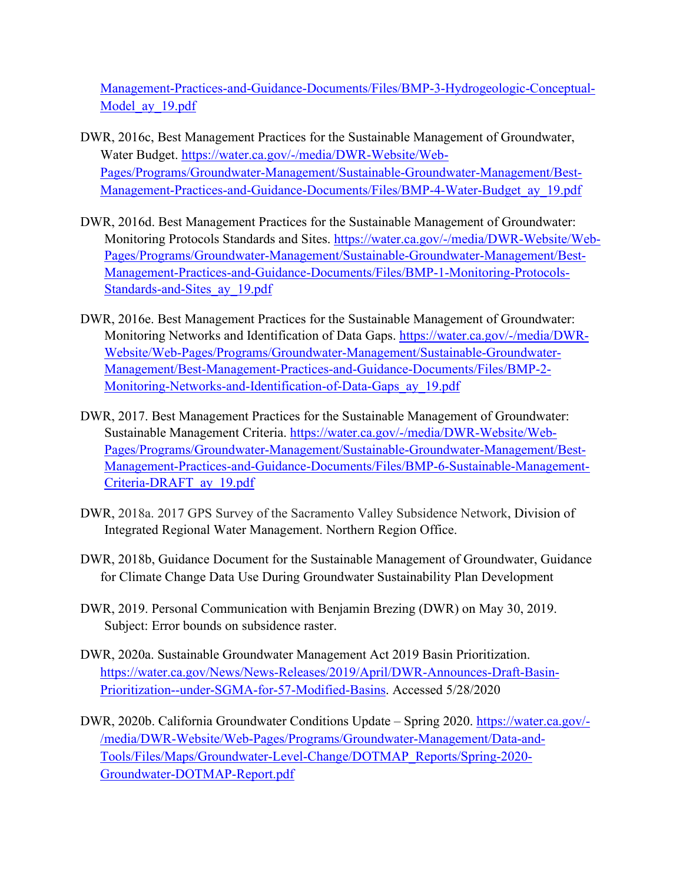[Management-Practices-and-Guidance-Documents/Files/BMP-3-Hydrogeologic-Conceptual-](https://water.ca.gov/-/media/DWR-Website/Web-Pages/Programs/Groundwater-Management/Sustainable-Groundwater-Management/Best-Management-Practices-and-Guidance-Documents/Files/BMP-3-Hydrogeologic-Conceptual-Model_ay_19.pdf)Model ay 19.pdf

- DWR, 2016c, Best Management Practices for the Sustainable Management of Groundwater, Water Budget. [https://water.ca.gov/-/media/DWR-Website/Web-](https://water.ca.gov/-/media/DWR-Website/Web-Pages/Programs/Groundwater-Management/Sustainable-Groundwater-Management/Best-Management-Practices-and-Guidance-Documents/Files/BMP-4-Water-Budget_ay_19.pdf)[Pages/Programs/Groundwater-Management/Sustainable-Groundwater-Management/Best-](https://water.ca.gov/-/media/DWR-Website/Web-Pages/Programs/Groundwater-Management/Sustainable-Groundwater-Management/Best-Management-Practices-and-Guidance-Documents/Files/BMP-4-Water-Budget_ay_19.pdf)[Management-Practices-and-Guidance-Documents/Files/BMP-4-Water-Budget\\_ay\\_19.pdf](https://water.ca.gov/-/media/DWR-Website/Web-Pages/Programs/Groundwater-Management/Sustainable-Groundwater-Management/Best-Management-Practices-and-Guidance-Documents/Files/BMP-4-Water-Budget_ay_19.pdf)
- DWR, 2016d. Best Management Practices for the Sustainable Management of Groundwater: Monitoring Protocols Standards and Sites. [https://water.ca.gov/-/media/DWR-Website/Web-](https://water.ca.gov/-/media/DWR-Website/Web-Pages/Programs/Groundwater-Management/Sustainable-Groundwater-Management/Best-Management-Practices-and-Guidance-Documents/Files/BMP-1-Monitoring-Protocols-Standards-and-Sites_ay_19.pdf)[Pages/Programs/Groundwater-Management/Sustainable-Groundwater-Management/Best-](https://water.ca.gov/-/media/DWR-Website/Web-Pages/Programs/Groundwater-Management/Sustainable-Groundwater-Management/Best-Management-Practices-and-Guidance-Documents/Files/BMP-1-Monitoring-Protocols-Standards-and-Sites_ay_19.pdf)[Management-Practices-and-Guidance-Documents/Files/BMP-1-Monitoring-Protocols-](https://water.ca.gov/-/media/DWR-Website/Web-Pages/Programs/Groundwater-Management/Sustainable-Groundwater-Management/Best-Management-Practices-and-Guidance-Documents/Files/BMP-1-Monitoring-Protocols-Standards-and-Sites_ay_19.pdf)[Standards-and-Sites\\_ay\\_19.pdf](https://water.ca.gov/-/media/DWR-Website/Web-Pages/Programs/Groundwater-Management/Sustainable-Groundwater-Management/Best-Management-Practices-and-Guidance-Documents/Files/BMP-1-Monitoring-Protocols-Standards-and-Sites_ay_19.pdf)
- DWR, 2016e. Best Management Practices for the Sustainable Management of Groundwater: Monitoring Networks and Identification of Data Gaps. [https://water.ca.gov/-/media/DWR-](https://water.ca.gov/-/media/DWR-Website/Web-Pages/Programs/Groundwater-Management/Sustainable-Groundwater-Management/Best-Management-Practices-and-Guidance-Documents/Files/BMP-2-Monitoring-Networks-and-Identification-of-Data-Gaps_ay_19.pdf)[Website/Web-Pages/Programs/Groundwater-Management/Sustainable-Groundwater-](https://water.ca.gov/-/media/DWR-Website/Web-Pages/Programs/Groundwater-Management/Sustainable-Groundwater-Management/Best-Management-Practices-and-Guidance-Documents/Files/BMP-2-Monitoring-Networks-and-Identification-of-Data-Gaps_ay_19.pdf)[Management/Best-Management-Practices-and-Guidance-Documents/Files/BMP-2-](https://water.ca.gov/-/media/DWR-Website/Web-Pages/Programs/Groundwater-Management/Sustainable-Groundwater-Management/Best-Management-Practices-and-Guidance-Documents/Files/BMP-2-Monitoring-Networks-and-Identification-of-Data-Gaps_ay_19.pdf) [Monitoring-Networks-and-Identification-of-Data-Gaps\\_ay\\_19.pdf](https://water.ca.gov/-/media/DWR-Website/Web-Pages/Programs/Groundwater-Management/Sustainable-Groundwater-Management/Best-Management-Practices-and-Guidance-Documents/Files/BMP-2-Monitoring-Networks-and-Identification-of-Data-Gaps_ay_19.pdf)
- DWR, 2017. Best Management Practices for the Sustainable Management of Groundwater: Sustainable Management Criteria. [https://water.ca.gov/-/media/DWR-Website/Web-](https://water.ca.gov/-/media/DWR-Website/Web-Pages/Programs/Groundwater-Management/Sustainable-Groundwater-Management/Best-Management-Practices-and-Guidance-Documents/Files/BMP-6-Sustainable-Management-Criteria-DRAFT_ay_19.pdf)[Pages/Programs/Groundwater-Management/Sustainable-Groundwater-Management/Best-](https://water.ca.gov/-/media/DWR-Website/Web-Pages/Programs/Groundwater-Management/Sustainable-Groundwater-Management/Best-Management-Practices-and-Guidance-Documents/Files/BMP-6-Sustainable-Management-Criteria-DRAFT_ay_19.pdf)[Management-Practices-and-Guidance-Documents/Files/BMP-6-Sustainable-Management-](https://water.ca.gov/-/media/DWR-Website/Web-Pages/Programs/Groundwater-Management/Sustainable-Groundwater-Management/Best-Management-Practices-and-Guidance-Documents/Files/BMP-6-Sustainable-Management-Criteria-DRAFT_ay_19.pdf)[Criteria-DRAFT\\_ay\\_19.pdf](https://water.ca.gov/-/media/DWR-Website/Web-Pages/Programs/Groundwater-Management/Sustainable-Groundwater-Management/Best-Management-Practices-and-Guidance-Documents/Files/BMP-6-Sustainable-Management-Criteria-DRAFT_ay_19.pdf)
- DWR, 2018a. 2017 GPS Survey of the Sacramento Valley Subsidence Network, Division of Integrated Regional Water Management. Northern Region Office.
- DWR, 2018b, Guidance Document for the Sustainable Management of Groundwater, Guidance for Climate Change Data Use During Groundwater Sustainability Plan Development
- DWR, 2019. Personal Communication with Benjamin Brezing (DWR) on May 30, 2019. Subject: Error bounds on subsidence raster.
- DWR, 2020a. Sustainable Groundwater Management Act 2019 Basin Prioritization. [https://water.ca.gov/News/News-Releases/2019/April/DWR-Announces-Draft-Basin-](https://water.ca.gov/News/News-Releases/2019/April/DWR-Announces-Draft-Basin-Prioritization--under-SGMA-for-57-Modified-Basins)[Prioritization--under-SGMA-for-57-Modified-Basins.](https://water.ca.gov/News/News-Releases/2019/April/DWR-Announces-Draft-Basin-Prioritization--under-SGMA-for-57-Modified-Basins) Accessed 5/28/2020
- DWR, 2020b. California Groundwater Conditions Update Spring 2020. [https://water.ca.gov/-](https://water.ca.gov/-/media/DWR-Website/Web-Pages/Programs/Groundwater-Management/Data-and-Tools/Files/Maps/Groundwater-Level-Change/DOTMAP_Reports/Spring-2020-Groundwater-DOTMAP-Report.pdf) [/media/DWR-Website/Web-Pages/Programs/Groundwater-Management/Data-and-](https://water.ca.gov/-/media/DWR-Website/Web-Pages/Programs/Groundwater-Management/Data-and-Tools/Files/Maps/Groundwater-Level-Change/DOTMAP_Reports/Spring-2020-Groundwater-DOTMAP-Report.pdf)[Tools/Files/Maps/Groundwater-Level-Change/DOTMAP\\_Reports/Spring-2020-](https://water.ca.gov/-/media/DWR-Website/Web-Pages/Programs/Groundwater-Management/Data-and-Tools/Files/Maps/Groundwater-Level-Change/DOTMAP_Reports/Spring-2020-Groundwater-DOTMAP-Report.pdf) [Groundwater-DOTMAP-Report.pdf](https://water.ca.gov/-/media/DWR-Website/Web-Pages/Programs/Groundwater-Management/Data-and-Tools/Files/Maps/Groundwater-Level-Change/DOTMAP_Reports/Spring-2020-Groundwater-DOTMAP-Report.pdf)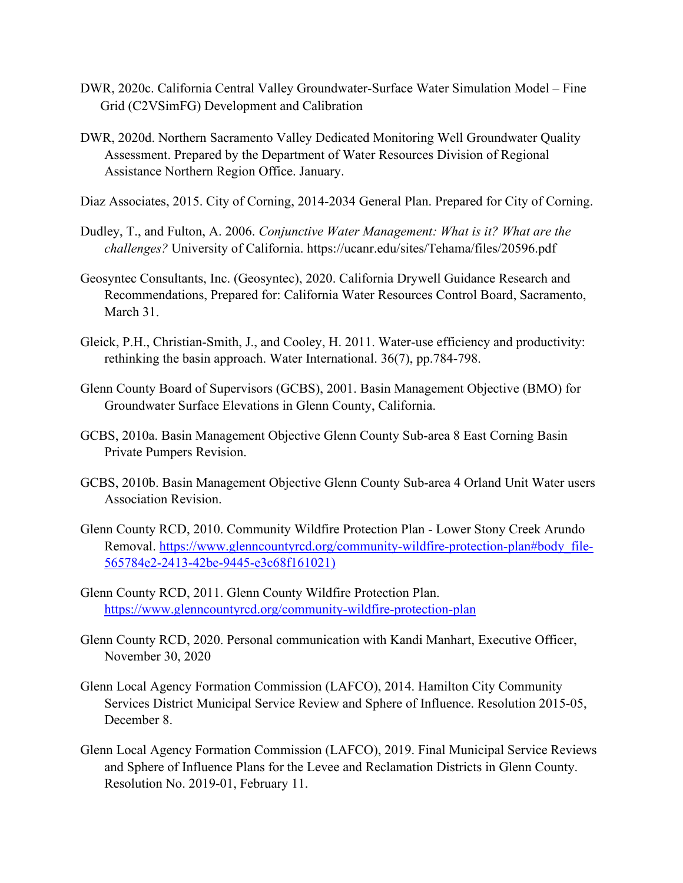- DWR, 2020c. California Central Valley Groundwater-Surface Water Simulation Model Fine Grid (C2VSimFG) Development and Calibration
- DWR, 2020d. Northern Sacramento Valley Dedicated Monitoring Well Groundwater Quality Assessment. Prepared by the Department of Water Resources Division of Regional Assistance Northern Region Office. January.

Diaz Associates, 2015. City of Corning, 2014-2034 General Plan. Prepared for City of Corning.

- Dudley, T., and Fulton, A. 2006. *Conjunctive Water Management: What is it? What are the challenges?* University of California. https://ucanr.edu/sites/Tehama/files/20596.pdf
- Geosyntec Consultants, Inc. (Geosyntec), 2020. California Drywell Guidance Research and Recommendations, Prepared for: California Water Resources Control Board, Sacramento, March 31.
- Gleick, P.H., Christian-Smith, J., and Cooley, H. 2011. Water-use efficiency and productivity: rethinking the basin approach. Water International. 36(7), pp.784-798.
- Glenn County Board of Supervisors (GCBS), 2001. Basin Management Objective (BMO) for Groundwater Surface Elevations in Glenn County, California.
- GCBS, 2010a. Basin Management Objective Glenn County Sub-area 8 East Corning Basin Private Pumpers Revision.
- GCBS, 2010b. Basin Management Objective Glenn County Sub-area 4 Orland Unit Water users Association Revision.
- Glenn County RCD, 2010. Community Wildfire Protection Plan Lower Stony Creek Arundo Removal. https://www.glenncountyrcd.org/community-wildfire-protection-plan#body file-[565784e2-2413-42be-9445-e3c68f161021\)](https://www.glenncountyrcd.org/community-wildfire-protection-plan%23body_file-565784e2-2413-42be-9445-e3c68f161021))
- Glenn County RCD, 2011. Glenn County Wildfire Protection Plan. <https://www.glenncountyrcd.org/community-wildfire-protection-plan>
- Glenn County RCD, 2020. Personal communication with Kandi Manhart, Executive Officer, November 30, 2020
- Glenn Local Agency Formation Commission (LAFCO), 2014. Hamilton City Community Services District Municipal Service Review and Sphere of Influence. Resolution 2015-05, December 8.
- Glenn Local Agency Formation Commission (LAFCO), 2019. Final Municipal Service Reviews and Sphere of Influence Plans for the Levee and Reclamation Districts in Glenn County. Resolution No. 2019-01, February 11.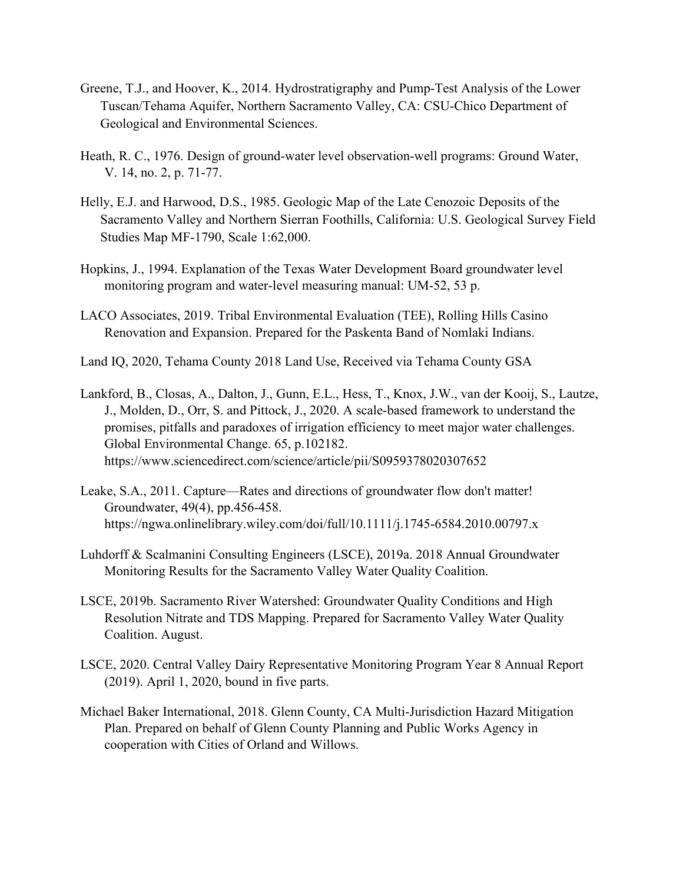- Greene, T.J., and Hoover, K., 2014. Hydrostratigraphy and Pump-Test Analysis of the Lower Tuscan/Tehama Aquifer, Northern Sacramento Valley, CA: CSU-Chico Department of Geological and Environmental Sciences.
- Heath, R. C., 1976. Design of ground-water level observation-well programs: Ground Water, V. 14, no. 2, p. 71-77.
- Helly, E.J. and Harwood, D.S., 1985. Geologic Map of the Late Cenozoic Deposits of the Sacramento Valley and Northern Sierran Foothills, California: U.S. Geological Survey Field Studies Map MF-1790, Scale 1:62,000.
- Hopkins, J., 1994. Explanation of the Texas Water Development Board groundwater level monitoring program and water-level measuring manual: UM-52, 53 p.
- LACO Associates, 2019. Tribal Environmental Evaluation (TEE), Rolling Hills Casino Renovation and Expansion. Prepared for the Paskenta Band of Nomlaki Indians.
- Land IQ, 2020, Tehama County 2018 Land Use, Received via Tehama County GSA
- Lankford, B., Closas, A., Dalton, J., Gunn, E.L., Hess, T., Knox, J.W., van der Kooij, S., Lautze, J., Molden, D., Orr, S. and Pittock, J., 2020. A scale-based framework to understand the promises, pitfalls and paradoxes of irrigation efficiency to meet major water challenges. Global Environmental Change. 65, p.102182. https://www.sciencedirect.com/science/article/pii/S0959378020307652
- Leake, S.A., 2011. Capture—Rates and directions of groundwater flow don't matter! Groundwater, 49(4), pp.456-458. https://ngwa.onlinelibrary.wiley.com/doi/full/10.1111/j.1745-6584.2010.00797.x
- Luhdorff & Scalmanini Consulting Engineers (LSCE), 2019a. 2018 Annual Groundwater Monitoring Results for the Sacramento Valley Water Quality Coalition.
- LSCE, 2019b. Sacramento River Watershed: Groundwater Quality Conditions and High Resolution Nitrate and TDS Mapping. Prepared for Sacramento Valley Water Quality Coalition. August.
- LSCE, 2020. Central Valley Dairy Representative Monitoring Program Year 8 Annual Report (2019). April 1, 2020, bound in five parts.
- Michael Baker International, 2018. Glenn County, CA Multi-Jurisdiction Hazard Mitigation Plan. Prepared on behalf of Glenn County Planning and Public Works Agency in cooperation with Cities of Orland and Willows.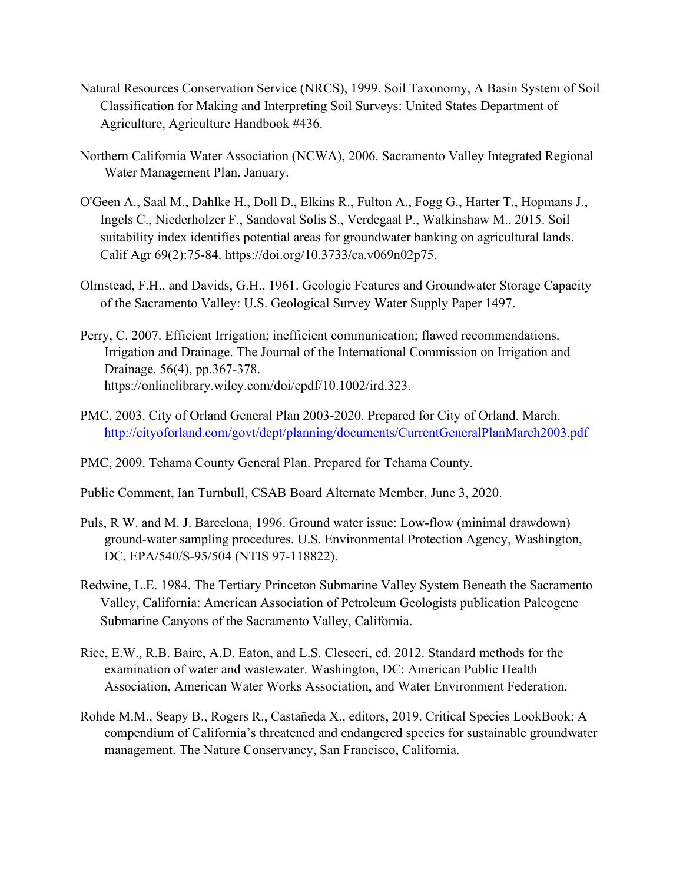- Natural Resources Conservation Service (NRCS), 1999. Soil Taxonomy, A Basin System of Soil Classification for Making and Interpreting Soil Surveys: United States Department of Agriculture, Agriculture Handbook #436.
- Northern California Water Association (NCWA), 2006. Sacramento Valley Integrated Regional Water Management Plan. January.
- O'Geen A., Saal M., Dahlke H., Doll D., Elkins R., Fulton A., Fogg G., Harter T., Hopmans J., Ingels C., Niederholzer F., Sandoval Solis S., Verdegaal P., Walkinshaw M., 2015. Soil suitability index identifies potential areas for groundwater banking on agricultural lands. Calif Agr 69(2):75-84. https://doi.org/10.3733/ca.v069n02p75.
- Olmstead, F.H., and Davids, G.H., 1961. Geologic Features and Groundwater Storage Capacity of the Sacramento Valley: U.S. Geological Survey Water Supply Paper 1497.
- Perry, C. 2007. Efficient Irrigation; inefficient communication; flawed recommendations. Irrigation and Drainage. The Journal of the International Commission on Irrigation and Drainage. 56(4), pp.367-378. https://onlinelibrary.wiley.com/doi/epdf/10.1002/ird.323.
- PMC, 2003. City of Orland General Plan 2003-2020. Prepared for City of Orland. March. <http://cityoforland.com/govt/dept/planning/documents/CurrentGeneralPlanMarch2003.pdf>
- PMC, 2009. Tehama County General Plan. Prepared for Tehama County.
- Public Comment, Ian Turnbull, CSAB Board Alternate Member, June 3, 2020.
- Puls, R W. and M. J. Barcelona, 1996. Ground water issue: Low-flow (minimal drawdown) ground-water sampling procedures. U.S. Environmental Protection Agency, Washington, DC, EPA/540/S-95/504 (NTIS 97-118822).
- Redwine, L.E. 1984. The Tertiary Princeton Submarine Valley System Beneath the Sacramento Valley, California: American Association of Petroleum Geologists publication Paleogene Submarine Canyons of the Sacramento Valley, California.
- Rice, E.W., R.B. Baire, A.D. Eaton, and L.S. Clesceri, ed. 2012. Standard methods for the examination of water and wastewater. Washington, DC: American Public Health Association, American Water Works Association, and Water Environment Federation.
- Rohde M.M., Seapy B., Rogers R., Castañeda X., editors, 2019. Critical Species LookBook: A compendium of California's threatened and endangered species for sustainable groundwater management. The Nature Conservancy, San Francisco, California.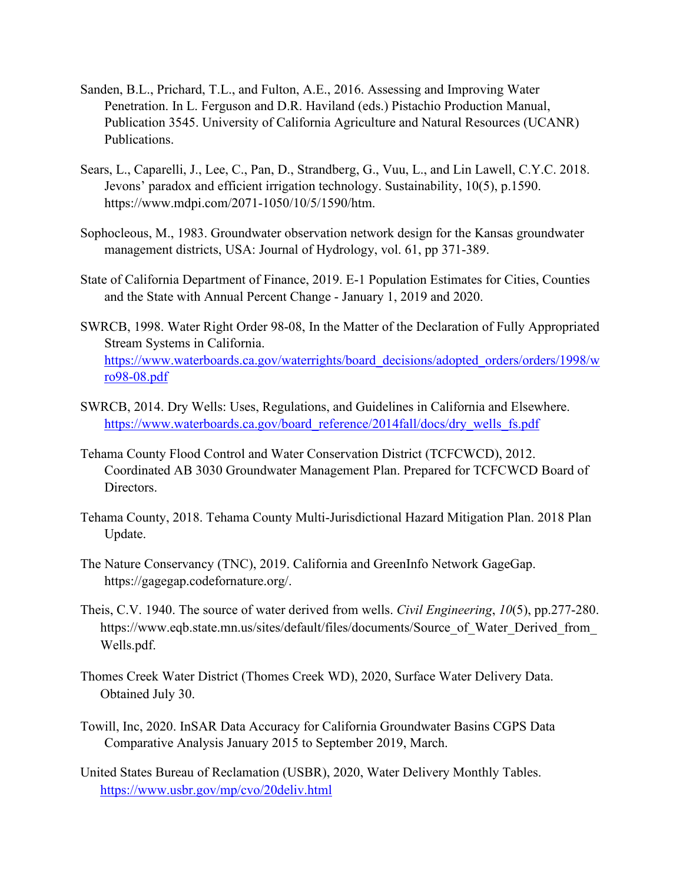- Sanden, B.L., Prichard, T.L., and Fulton, A.E., 2016. Assessing and Improving Water Penetration. In L. Ferguson and D.R. Haviland (eds.) Pistachio Production Manual, Publication 3545. University of California Agriculture and Natural Resources (UCANR) Publications.
- Sears, L., Caparelli, J., Lee, C., Pan, D., Strandberg, G., Vuu, L., and Lin Lawell, C.Y.C. 2018. Jevons' paradox and efficient irrigation technology. Sustainability, 10(5), p.1590. https://www.mdpi.com/2071-1050/10/5/1590/htm.
- Sophocleous, M., 1983. Groundwater observation network design for the Kansas groundwater management districts, USA: Journal of Hydrology, vol. 61, pp 371-389.
- State of California Department of Finance, 2019. E-1 Population Estimates for Cities, Counties and the State with Annual Percent Change - January 1, 2019 and 2020.
- SWRCB, 1998. Water Right Order 98-08, In the Matter of the Declaration of Fully Appropriated Stream Systems in California. [https://www.waterboards.ca.gov/waterrights/board\\_decisions/adopted\\_orders/orders/1998/w](https://www.waterboards.ca.gov/waterrights/board_decisions/adopted_orders/orders/1998/wro98-08.pdf) [ro98-08.pdf](https://www.waterboards.ca.gov/waterrights/board_decisions/adopted_orders/orders/1998/wro98-08.pdf)
- SWRCB, 2014. Dry Wells: Uses, Regulations, and Guidelines in California and Elsewhere. https://www.waterboards.ca.gov/board\_reference/2014fall/docs/dry\_wells\_fs.pdf
- Tehama County Flood Control and Water Conservation District (TCFCWCD), 2012. Coordinated AB 3030 Groundwater Management Plan. Prepared for TCFCWCD Board of Directors.
- Tehama County, 2018. Tehama County Multi-Jurisdictional Hazard Mitigation Plan. 2018 Plan Update.
- The Nature Conservancy (TNC), 2019. California and GreenInfo Network GageGap. https://gagegap.codefornature.org/.
- Theis, C.V. 1940. The source of water derived from wells. *Civil Engineering*, *10*(5), pp.277-280. https://www.eqb.state.mn.us/sites/default/files/documents/Source\_of\_Water\_Derived\_from Wells.pdf.
- Thomes Creek Water District (Thomes Creek WD), 2020, Surface Water Delivery Data. Obtained July 30.
- Towill, Inc, 2020. InSAR Data Accuracy for California Groundwater Basins CGPS Data Comparative Analysis January 2015 to September 2019, March.
- United States Bureau of Reclamation (USBR), 2020, Water Delivery Monthly Tables. <https://www.usbr.gov/mp/cvo/20deliv.html>